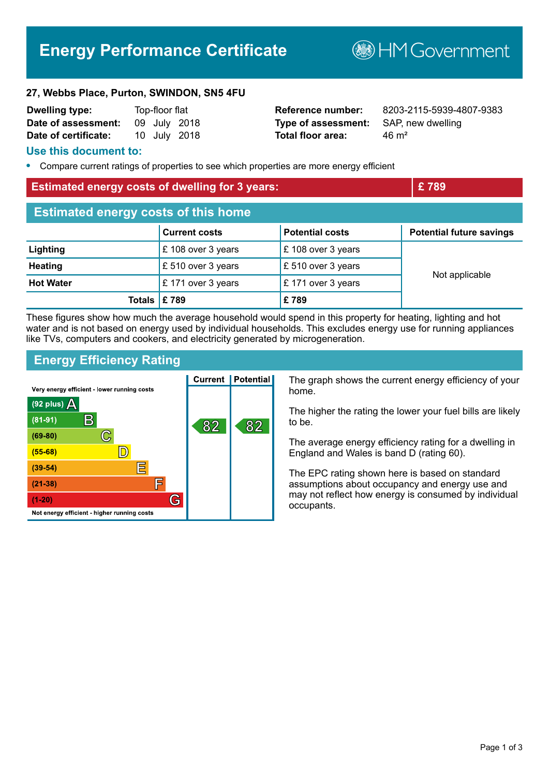# **Energy Performance Certificate**

**B**HMGovernment

#### **27, Webbs Place, Purton, SWINDON, SN5 4FU**

| <b>Dwelling type:</b> | Top-floor flat |  |              |
|-----------------------|----------------|--|--------------|
| Date of assessment:   |                |  | 09 July 2018 |
| Date of certificate:  |                |  | 10 July 2018 |

**Type of assessment:** SAP, new dwelling **Total floor area:** 46 m<sup>2</sup>

**Reference number:** 8203-2115-5939-4807-9383

#### **Use this document to:**

**•** Compare current ratings of properties to see which properties are more energy efficient

# **Estimated energy costs of dwelling for 3 years: EXEC 2008 EXEC 289**

| <b>Estimated energy costs of this home</b> |                               |                              |                                 |  |
|--------------------------------------------|-------------------------------|------------------------------|---------------------------------|--|
|                                            | <b>Current costs</b>          | <b>Potential costs</b>       | <b>Potential future savings</b> |  |
| Lighting                                   | £ 108 over 3 years            | £ 108 over 3 years           |                                 |  |
| <b>Heating</b>                             | £ 510 over 3 years            | $\mathsf E$ 510 over 3 years | Not applicable                  |  |
| <b>Hot Water</b>                           | $\mathsf{E}$ 171 over 3 years | $\mathsf E$ 171 over 3 years |                                 |  |
| Totals $\mathsf{E}$ 789                    |                               | £789                         |                                 |  |

These figures show how much the average household would spend in this property for heating, lighting and hot water and is not based on energy used by individual households. This excludes energy use for running appliances like TVs, computers and cookers, and electricity generated by microgeneration.

## **Energy Efficiency Rating**

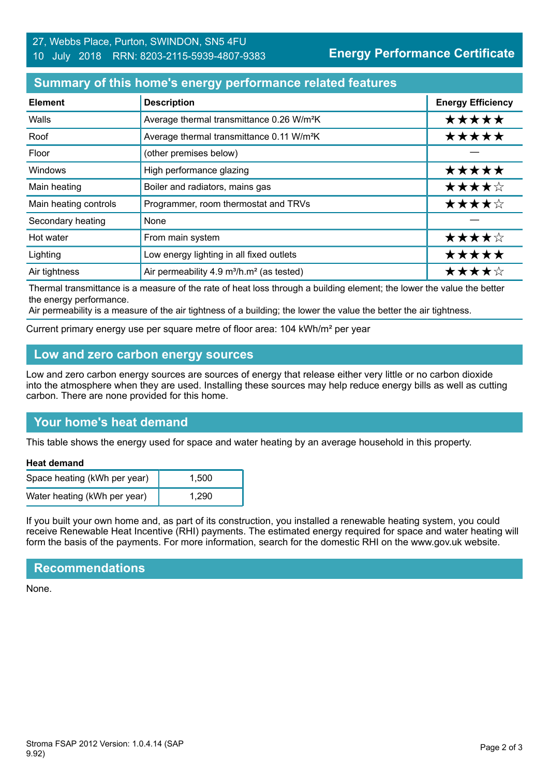## **Summary of this home's energy performance related features**

| <b>Element</b>        | <b>Description</b>                                                | <b>Energy Efficiency</b> |
|-----------------------|-------------------------------------------------------------------|--------------------------|
| Walls                 | Average thermal transmittance 0.26 W/m <sup>2</sup> K             | *****                    |
| Roof                  | Average thermal transmittance 0.11 W/m <sup>2</sup> K             | *****                    |
| Floor                 | (other premises below)                                            |                          |
| Windows               | High performance glazing                                          | *****                    |
| Main heating          | Boiler and radiators, mains gas                                   | ★★★★☆                    |
| Main heating controls | Programmer, room thermostat and TRVs                              | ★★★★☆                    |
| Secondary heating     | None                                                              |                          |
| Hot water             | From main system                                                  | ★★★★☆                    |
| Lighting              | Low energy lighting in all fixed outlets                          | *****                    |
| Air tightness         | Air permeability 4.9 m <sup>3</sup> /h.m <sup>2</sup> (as tested) | ★★★★☆                    |

Thermal transmittance is a measure of the rate of heat loss through a building element; the lower the value the better the energy performance.

Air permeability is a measure of the air tightness of a building; the lower the value the better the air tightness.

Current primary energy use per square metre of floor area: 104 kWh/m² per year

#### **Low and zero carbon energy sources**

Low and zero carbon energy sources are sources of energy that release either very little or no carbon dioxide into the atmosphere when they are used. Installing these sources may help reduce energy bills as well as cutting carbon. There are none provided for this home.

# **Your home's heat demand**

This table shows the energy used for space and water heating by an average household in this property.

#### **Heat demand**

| Space heating (kWh per year) | 1.500 |
|------------------------------|-------|
| Water heating (kWh per year) | 1.290 |

If you built your own home and, as part of its construction, you installed a renewable heating system, you could receive Renewable Heat Incentive (RHI) payments. The estimated energy required for space and water heating will form the basis of the payments. For more information, search for the domestic RHI on the www.gov.uk website.

#### **Recommendations**

None.